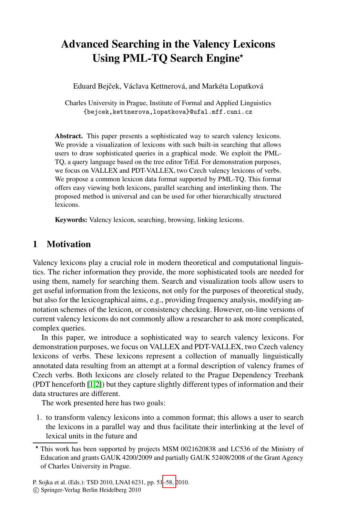# **Advanced Searching in the Valency Lexicons Using PML-TQ Search Engine**

Eduard Bejček, Václava Kettnerová, and Markéta Lopatková

Charles University in Prague, Institute of Formal and Applied Linguistics {bejcek,kettnerova,lopatkova}@ufal.mff.cuni.cz

Abstract. This paper presents a sophisticated way to search valency lexicons. We provide a visualization of lexicons with such built-in searching that allows users to draw sophisticated queries in a graphical mode. We exploit the PML-TQ, a query language based on the tree editor TrEd. For demonstration purposes, we focus on VALLEX and PDT-VALLEX, two Czech valency lexicons of verbs. We propose a common lexicon data format supported by PML-TQ. This format offers easy viewing both lexicons, parallel searching and interlinking them. The proposed method is universal and can be used for other hierarchically structured lexicons.

**Keywords:** Valency lexicon, searching, browsing, linking lexicons.

# **1 Motivation**

Valency lexicons play a crucial role in modern theoretical and computational linguistics. The richer information they provide, the more sophisticated tools are needed for using them, namely for searching them. Search and visualization tools allow users to get useful information from the lexicons, not only for the purposes of theoretical study, but also for the lexicographical aims, e.g., providing frequency analysis, modifying an[n](#page-6-0)otation schemes of the lexicon, or consistency checking. However, on-line versions of current valency lexicons do not commonly allow a researcher to ask more complicated, complex queries.

In this paper, we introduce a sophisticated way to search valency lexicons. For demonstration purposes, we focus on VALLEX and PDT-VALLEX, two Czech valency lexicons of verbs. These lexicons represent a collection of manually linguistically annotated data resulting from an attempt at a formal description of valency frames of Czech verbs. Both lexicons are closely related to the Prague Dependency Treebank (PDT henceforth [1,2]) but they capture slightly different types of information and their data structures are different.

The work present[ed he](#page-7-0)re has two goals:

1. to transform valency lexicons into a common format; this allows a user to search the lexicons in a parallel way and thus facilitate their interlinking at the level of lexical units in the future and

This work has been supported by projects MSM 0021620838 and LC536 of the Ministry of Education and grants GAUK 4200/2009 and partially GAUK 52408/2008 of the Grant Agency of Charles University in Prague.

P. Sojka et al. (Eds.): TSD 2010, LNAI 6231, pp. 51–58, 2010.

<sup>-</sup>c Springer-Verlag Berlin Heidelberg 2010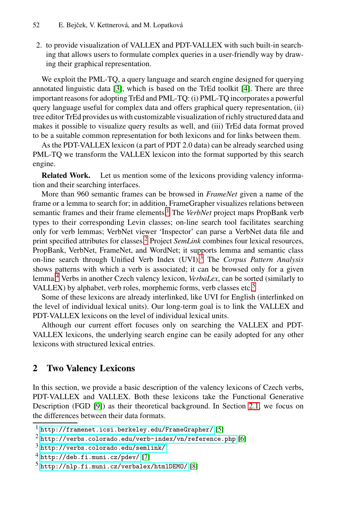2. to provide visualization of VALLEX and PDT-VALLEX with such built-in searching that allows users to formulate complex queries in a user-friendly way by drawing their graphical representation.

We exploit the PML-TQ, a query language and search engine designed for querying annotated linguistic data [3], which is based on the TrEd toolkit [4]. There are three important reasons for adopting TrEd and PML-TQ: (i) PML-TQ incorporates a powerful query language useful for complex data and offers graphical query representation, (ii) tree editor TrEd provides us with customizable visualization of richly structured data and makes it possible to visualize query results as well, and (iii) TrEd data format proved to be a suitable com[mo](#page-1-0)n representation for both lexicons and for links between them.

As the PDT-VALLEX lexicon (a part of PDT 2.0 data) can be already searched using PML-TQ we transform the VALLEX lexicon into the format supported by this search engine.

**Related W[or](#page-1-1)k.** Let us mention some of the lexicons providing valency information and their searching interfac[es.](#page-1-2)

More than 960 semantic frames can be browsed in *FrameNet* given a name of the frame or a lemma to search for; in addition, FrameGrapher visualizes relations between semantic frames and their frame elements.<sup>1</sup> The *[Ve](#page-1-3)rbNet* project maps PropBank verb types to their corresponding Levin classes; on-line search tool facilitates searching only for verb lemmas; VerbNet viewer 'Inspector' can parse a VerbNet data file and print specified attributes for classes.<sup>2</sup> Project *SemLink* combines four lexical resources, PropBank, VerbNet, FrameNet, and WordNet; it supports lemma and semantic class on-line search through Unified Verb Index (UVI).<sup>3</sup> The *Corpus Pattern Analysis* shows patterns with which a verb is associated; it can be browsed only for a given lemma.<sup>4</sup> Verbs in another Czech valency lexicon, *VerbaLex*, can be sorted (similarly to VALLEX) by alphabet, verb roles, morphemic forms, verb classes etc.<sup>5</sup>

Some of these lexicons are already interlinked, like UVI for English (interlinked on the level of individual lexical units). Our long-term goal is to link the VALLEX and PDT-VALLEX lexicons on the level of individual lexical units.

Although our current effort focuses only on searching the VALLEX and PDT-[V](#page-7-1)ALLEX lexicons, the underlying search engi[ne ca](#page-2-0)n be easily adopted for any other lexicons with structured lexical entries.

# <span id="page-1-1"></span><span id="page-1-0"></span>**[2 Two Valency Lexicons](http://verbs.colorado.edu/verb-index/vn/reference.php)**

<span id="page-1-3"></span><span id="page-1-2"></span>[In](http://deb.fi.muni.cz/pdev/) [this](http://deb.fi.muni.cz/pdev/) [section](http://deb.fi.muni.cz/pdev/)[,](#page-7-2) [w](#page-7-2)e provide a basic description of the valency lexicons of Czech verbs, [PDT-VALLEX](http://nlp.fi.muni.cz/verbalex/htmlDEMO/) [and](http://nlp.fi.muni.cz/verbalex/htmlDEMO/) [VALLE](http://nlp.fi.muni.cz/verbalex/htmlDEMO/)[X.](#page-7-3) Both these lexicons take the Functional Generative Description (FGD [9]) as their theoretical background. In Section 2.1, we focus on the differences between their data formats.

<sup>1</sup> http://framenet.icsi.berkeley.edu/FrameGrapher/ [5]

 $2$  http://verbs.colorado.edu/verb-index/vn/reference.php [6]

 $3$  http://verbs.colorado.edu/semlink/

<sup>4</sup> http://deb.fi.muni.cz/pdev/ [7]

<sup>5</sup> http://nlp.fi.muni.cz/verbalex/htmlDEMO/ [8]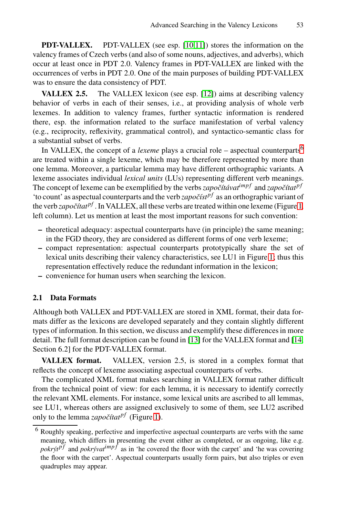**PDT-VALLEX.** PDT-VALLEX (see esp. [10,11]) stores the information on the valency frames of Czech verbs (and also of some nouns, adjectives, and adverbs), which occur at least once in PDT 2.0. Valency frames in PDT-VALLEX are linked with the occurrences of verbs in PDT 2.0. One of the main purposes of b[uil](#page-2-1)ding PDT-VALLEX was to ensure the data consistency of PDT.

**VALLEX 2.5.** The VALLEX lexicon (see esp. [12]) aims at describing valency behavior of verbs in each of their senses, i.e., at providing analysis of whole verb lexemes. In addition to valency frames, further syntactic information is rendered there, esp. the information related to the surface manifestation of verbal valency (e.g., reciprocity, reflexivity, grammatical control), and syntac[tic](#page-4-0)o-semantic class for a substantial subset of verbs.

In VALLEX, the concept of a *lexeme* plays a crucial role – aspectual counterparts6 are treated within a single lexeme, which may be therefore represented by more than one lemma. Moreover, a particular lemma may have different orthographic variants. A lexeme associates individual *lexical units* (LUs) representing different verb meanings. The concept of lexeme can be exemplified by the verbs *[za](#page-4-0)počítávat<sup>impf</sup>* and *započítat<sup>pf</sup>* 'to count' as aspectual counterparts and the verb *zapoˇcístpf* as an orthographic variant of the verb *započítat<sup>pf</sup>* . In VALLEX, all these verbs are treated within one lexeme (Figure 1, left column). Let us mention at least the most important reasons for such convention:

- <span id="page-2-0"></span>**–** theoretical adequacy: aspectual counterparts have (in principle) the same meaning; in the FGD theory, they are considered as different forms of one verb lexeme;
- **–** compact representation: aspectual counterparts prototypically share the set of lexical units describing their valency characteristics, see LU1 in Figure 1; thus this representation effectivel[y red](#page-7-4)uce the redundant informatio[n in](#page-7-5) the lexicon;
- **–** convenience for human users when searching the lexicon.

### **2.1 Data Formats**

Although both VALLEX and PDT-VALLEX are stored in XML format, their data formats differ as the lexicons are developed separately and they contain slightly different types of information. In this section, we discuss and exemplify these differences in more detail. The full fo[rm](#page-4-0)at description can be found in [13] for the VALLEX format and [14, Section 6.2] for the PDT-VALLEX format.

<span id="page-2-1"></span>**VALLEX format.** VALLEX, version 2.5, is stored in a complex format that reflects the concept of lexeme associating aspectual counterparts of verbs.

The complicated XML format makes searching in VALLEX format rather difficult from the technical point of view: for each lemma, it is necessary to identify correctly the relevant XML elements. For instance, some lexical units are ascribed to all lemmas, see LU1, whereas others are assigned exclusively to some of them, see LU2 ascribed only to the lemma *započítat<sup>pf</sup>* (Figure 1).

Roughly speaking, perfective and imperfective aspectual counterparts are verbs with the same meaning, which differs in presenting the event either as completed, or as ongoing, like e.g. *pokrýt* $p^f$  and *pokrývat*<sup>*impf*</sup> as in 'he covered the floor with the carpet' and 'he was covering the floor with the carpet'. Aspectual counterparts usually form pairs, but also triples or even quadruples may appear.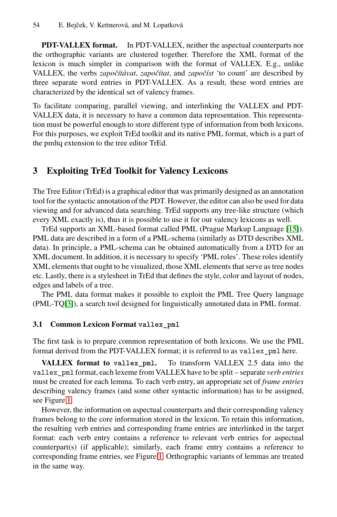**PDT-VALLEX format.** In PDT-VALLEX, neither the aspectual counterparts nor the orthographic variants are clustered together. Therefore the XML format of the lexicon is much simpler in comparison with the format of VALLEX. E.g., unlike VALLEX, the verbs *zapoˇcítávat*, *zapoˇcítat*, and *zapoˇcíst* 'to count' are described by three separate word entries in PDT-VALLEX. As a result, these word entries are characterized by the identical set of valency frames.

To facilitate comparing, parallel viewing, and interlinking the VALLEX and PDT-VALLEX data, it is necessary to have a common data representation. This representation must be powerful enough to store different type of information from both lexicons. For this purposes, we exploit TrEd toolkit and its native PML format, which is a part of the pmltq extension to the tree editor TrEd.

## **3 Exploiting TrEd Toolkit for Valency Lexicons**

The Tree Editor (TrEd) is a graphical editor that was primarily designed as an annotation tool for the syntactic annotation of the PDT. However, the editor can also be used for data viewing and for advanced data searching. TrEd supports any tree-like structure (which every XML exactly is), thus it is possible to use it for our valency lexicons as well.

TrEd supports an XML-based format called PML (Prague Markup Language [15]). PML data are described in a form of a PML-schema (similarly as DTD describes XML data). In principle, a PML-schema can be obtained automatically from a DTD for an XML document. In addition, it is necessary to specify 'PML roles'. These roles identify XML elements that ought to be visualized, those XML elements that serve as tree nodes etc. Lastly, there is a stylesheet in TrEd that defines the style, color and layout of nodes, edges and labels of a tree.

The PML data format makes it possible to exploit the PML Tree Query language (PML-TQ[3]), a search tool designed for linguistically annotated data in PML format.

### **3.1 Common Lexicon Format vallex\_pml**

The first task is to prepare common representation of both lexicons. We use the PML format derived from the PDT-VALLEX format; it is referred to as vallex\_pml here.

**VALLEX format to vallex\_pml.** To transform VALLEX 2.5 data into the vallex\_pml format, each lexeme from VALLEX have to be split – separate *verb entries* must be created for [ea](#page-4-0)ch lemma. To each verb entry, an appropriate set of *frame entries* describing valency frames (and some other syntactic information) has to be assigned, see Figure 1.

However, the information on aspectual counterparts and their corresponding valency frames belong to the core information stored in the lexicon. To retain this information, the resulting verb entries and corresponding frame entries are interlinked in the target format: each verb entry contains a reference to relevant verb entries for aspectual  $counterpart(s)$  (if applicable); similarly, each frame entry contains a reference to corresponding frame entries, see Figure 1. Orthographic variants of lemmas are treated in the same way.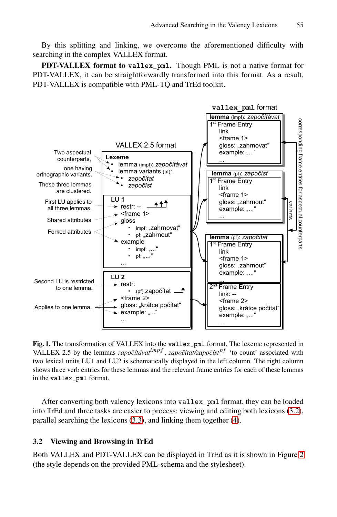By this splitting and linking, we overcome the aforementioned difficulty with searching in the complex VALLEX format.

**PDT-VALLEX format to vallex\_pml.** Though PML is not a native format for PDT-VALLEX, it can be straightforwardly transformed into this format. As a result, PDT-VALLEX is compatible with PML-TQ and TrEd toolkit.



<span id="page-4-1"></span><span id="page-4-0"></span>Fig. 1. The [trans](#page-5-0)formation of VALLEX into the vallex\_pml form[at.](#page-4-1) [Th](#page-4-1)e lexeme represented in VALLEX 2.5 by the lemmas *[za](#page-6-1)počítávat<sup>imp f</sup>*, *započítat/započíst<sup>p f</sup>* 'to count' associated with two lexical units LU1 and LU2 is schematically displayed in the left column. The right column shows three verb entries for these lemmas and the relevant frame entries for each of these lemmas in the vallex\_pml format.

After converting both valency lexicons into vallex\_pml format, they can be loaded into TrEd and three tasks are easier to process: viewing and editing both lexicons (3.2), parallel searching the lexicons (3.3), and linking them together (4).

#### **3.2 Viewing and Browsing in TrEd**

Both VALLEX and PDT-VALLEX can be displayed in TrEd as it is shown in Figure 2 (the style depends on the provided PML-schema and the stylesheet).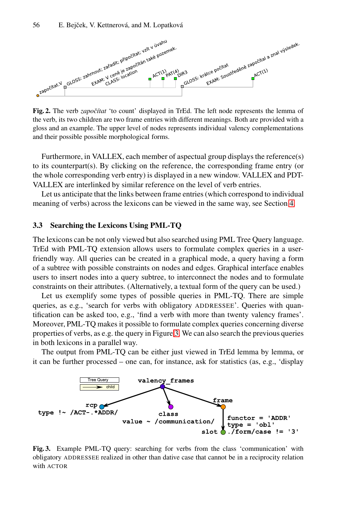

Fig. 2. The verb *započítat* 'to count' displayed in TrEd. The left node represents the lemma of the verb, its two children are two frame entries with different meanings. Both are provided with a gloss and an example. The upper level of nodes represents individu[al v](#page-6-1)alency complementations and their possible possible morphological forms.

<span id="page-5-0"></span>Furthermore, in VALLEX, each member of aspectual group displays the reference(s) to its counterpart(s). By clicking on the reference, the corresponding frame entry (or the whole corresponding verb entry) is displayed in a new window. VALLEX and PDT-VALLEX are interlinked by similar reference on the level of verb entries.

Let us anticipate that the links between frame entries (which correspond to individual meaning of verbs) across the lexicons can be viewed in the same way, see Section 4.

#### **3.3 Searching the Lexicons Using PML-TQ**

The lexicons can be not only viewed but also searched using PML Tree Query language. TrEd with PML-TQ extension allows users to formulate complex queries in a userfriendly way. All queri[es](#page-5-1) can be created in a graphical mode, a query having a form of a subtree with possible constraints on nodes and edges. Graphical interface enables users to insert nodes into a query subtree, to interconnect the nodes and to formulate constraints on their attributes. (Alternatively, a textual form of the query can be used.)

Let us exemplify some types of possible queries in PML-TQ. There are simple queries, as e.g., 'search for verbs with obligatory ADDRESSEE'. Queries with quantification can be asked too, e.g., 'find a verb with more than twenty valency frames'. Moreover, PML-TQ makes it possible to formulate complex queries concerning diverse properties of verbs, as e.g. the query in Figure 3. We can also search the previous queries in both lexicons in a parallel way.

The output from PML-TQ can be either just viewed in TrEd lemma by lemma, or it can be further processed – one can, for instance, ask for statistics (as, e.g., 'display

<span id="page-5-1"></span>

**Fig. 3.** Example PML-TQ query: searching for verbs from the class 'communication' with obligatory ADDRESSEE realized in other than dative case that cannot be in a reciprocity relation with ACTOR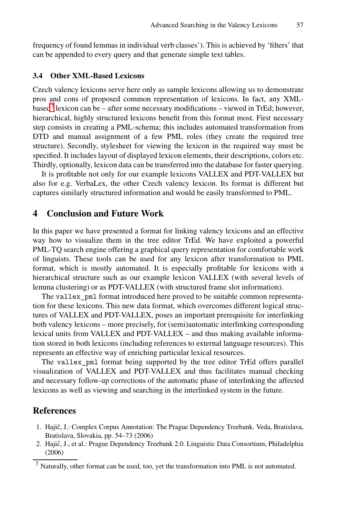frequency of found lemmas in individual verb classes'). This is achieved by 'filters' that can be appended to every query and that generate simple text tables.

#### **3.4 Other XML-Based Lexicons**

<span id="page-6-1"></span>Czech valency lexicons serve here only as sample lexicons allowing us to demonstrate pros and cons of proposed common representation of lexicons. In fact, any XMLbased<sup>7</sup> lexicon can be – after some necessary modifications – viewed in TrEd; however, hierarchical, highly structured lexicons benefit from this format most. First necessary step consists in creating a PML-schema; this includes automated transformation from DTD and manual assignment of a few PML roles (they create the required tree structure). Secondly, stylesheet for viewing the lexicon in the required way must be specified. It includes layout of displayed lexicon elements, their descriptions, colors etc. Thirdly, optionally, lexicon data can be transferred into the database for faster querying.

It is profitable not only for our example lexicons VALLEX and PDT-VALLEX but also for e.g. VerbaLex, the other Czech valency lexicon. Its format is different but captures similarly structured information and would be easily transformed to PML.

## **4 Conclusion and Future Work**

In this paper we have presented a format for linking valency lexicons and an effective way how to visualize them in the tree editor TrEd. We have exploited a powerful PML-TQ search engine offering a graphical query representation for comfortable work of linguists. These tools can be used for any lexicon after transformation to PML format, which is mostly automated. It is especially profitable for lexicons with a hierarchical structure such as our example lexicon VALLEX (with several levels of lemma clustering) or as PDT-VALLEX (with structured frame slot information).

The vallex\_pml format introduced here proved to be suitable common representation for these lexicons. This new data format, which overcomes different logical structures of VALLEX and PDT-VALLEX, poses an important prerequisite for interlinking both valency lexicons – more precisely, for (semi)automatic interlinking corresponding lexical units from VALLEX and PDT-VALLEX – and thus making available information stored in both lexicons (including references to external language resources). This represents an effective way of enriching particular lexical resources.

<span id="page-6-0"></span>The vallex\_pml format being supported by the tree editor TrEd offers parallel visualization of VALLEX and PDT-VALLEX and thus facilitates manual checking and necessary follow-up corrections of the automatic phase of interlinking the affected lexicons as well as viewing and searching in the interlinked system in the future.

## **References**

- 1. Hajič, J.: Complex Corpus Annotation: The Prague Dependency Treebank. Veda, Bratislava, Bratislava, Slovakia, pp. 54–73 (2006)
- 2. Hajič, J., et al.: Prague Dependency Treebank 2.0. Linguistic Data Consortium, Philadelphia (2006)

<sup>7</sup> Naturally, other format can be used, too, yet the transformation into PML is not automated.